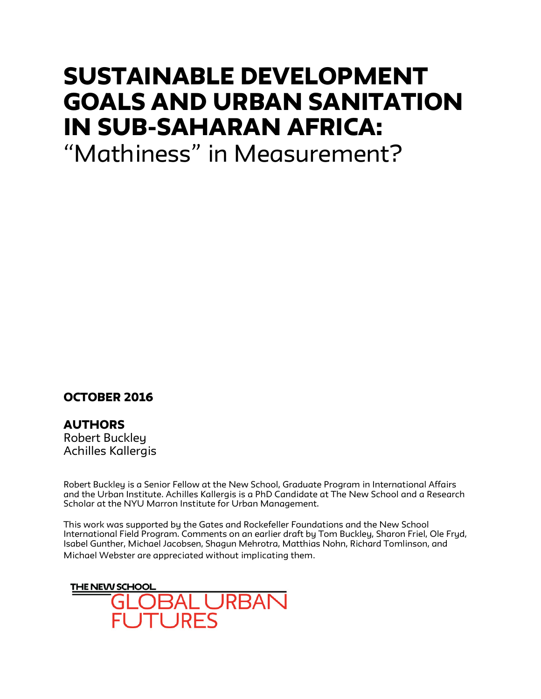# SUSTAINABLE DEVELOPMENT GOALS AND URBAN SANITATION IN SUB-SAHARAN AFRICA:

"Mathiness" in Measurement?

# October 2016

**AUTHORS** Robert Buckley Achilles Kallergis

Robert Buckley is a Senior Fellow at the New School, Graduate Program in International Affairs and the Urban Institute. Achilles Kallergis is a PhD Candidate at The New School and a Research Scholar at the NYU Marron Institute for Urban Management.

This work was supported by the Gates and Rockefeller Foundations and the New School International Field Program. Comments on an earlier draft by Tom Buckley, Sharon Friel, Ole Fryd, Isabel Gunther, Michael Jacobsen, Shagun Mehrotra, Matthias Nohn, Richard Tomlinson, and Michael Webster are appreciated without implicating them.

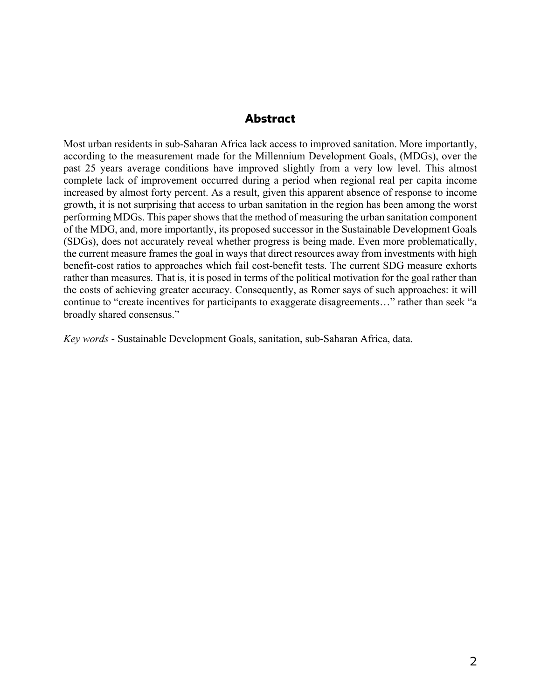## Abstract

Most urban residents in sub-Saharan Africa lack access to improved sanitation. More importantly, according to the measurement made for the Millennium Development Goals, (MDGs), over the past 25 years average conditions have improved slightly from a very low level. This almost complete lack of improvement occurred during a period when regional real per capita income increased by almost forty percent. As a result, given this apparent absence of response to income growth, it is not surprising that access to urban sanitation in the region has been among the worst performing MDGs. This paper shows that the method of measuring the urban sanitation component of the MDG, and, more importantly, its proposed successor in the Sustainable Development Goals (SDGs), does not accurately reveal whether progress is being made. Even more problematically, the current measure frames the goal in ways that direct resources away from investments with high benefit-cost ratios to approaches which fail cost-benefit tests. The current SDG measure exhorts rather than measures. That is, it is posed in terms of the political motivation for the goal rather than the costs of achieving greater accuracy. Consequently, as Romer says of such approaches: it will continue to "create incentives for participants to exaggerate disagreements…" rather than seek "a broadly shared consensus."

*Key words* - Sustainable Development Goals, sanitation, sub-Saharan Africa, data.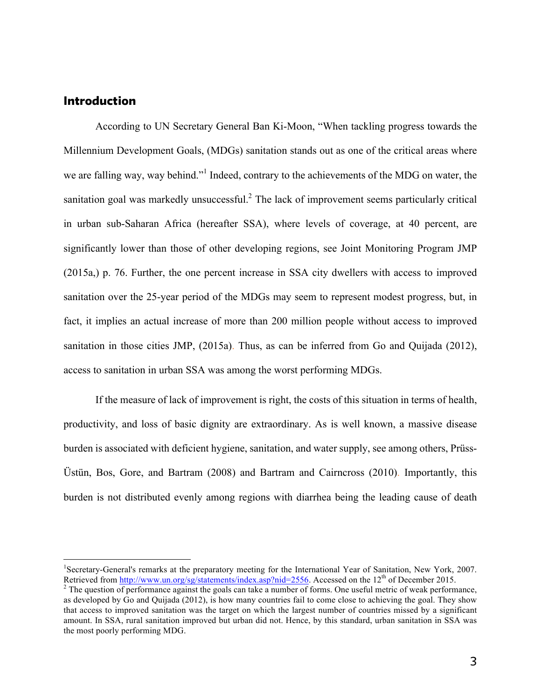## Introduction

According to UN Secretary General Ban Ki-Moon, "When tackling progress towards the Millennium Development Goals, (MDGs) sanitation stands out as one of the critical areas where we are falling way, way behind."<sup>1</sup> Indeed, contrary to the achievements of the MDG on water, the sanitation goal was markedly unsuccessful.<sup>2</sup> The lack of improvement seems particularly critical in urban sub-Saharan Africa (hereafter SSA), where levels of coverage, at 40 percent, are significantly lower than those of other developing regions, see Joint Monitoring Program JMP (2015a,) p. 76. Further, the one percent increase in SSA city dwellers with access to improved sanitation over the 25-year period of the MDGs may seem to represent modest progress, but, in fact, it implies an actual increase of more than 200 million people without access to improved sanitation in those cities JMP, (2015a). Thus, as can be inferred from Go and Quijada (2012), access to sanitation in urban SSA was among the worst performing MDGs.

If the measure of lack of improvement is right, the costs of this situation in terms of health, productivity, and loss of basic dignity are extraordinary. As is well known, a massive disease burden is associated with deficient hygiene, sanitation, and water supply, see among others, Prüss-Üstün, Bos, Gore, and Bartram (2008) and Bartram and Cairncross (2010). Importantly, this burden is not distributed evenly among regions with diarrhea being the leading cause of death

 $\frac{1}{1}$ <sup>1</sup>Secretary-General's remarks at the preparatory meeting for the International Year of Sanitation, New York, 2007.<br>Retrieved from http://www.un.org/sg/statements/index.asp?nid=2556. Accessed on the 12<sup>th</sup> of December 201

 $2$  The question of performance against the goals can take a number of forms. One useful metric of weak performance, as developed by Go and Quijada (2012), is how many countries fail to come close to achieving the goal. They show that access to improved sanitation was the target on which the largest number of countries missed by a significant amount. In SSA, rural sanitation improved but urban did not. Hence, by this standard, urban sanitation in SSA was the most poorly performing MDG.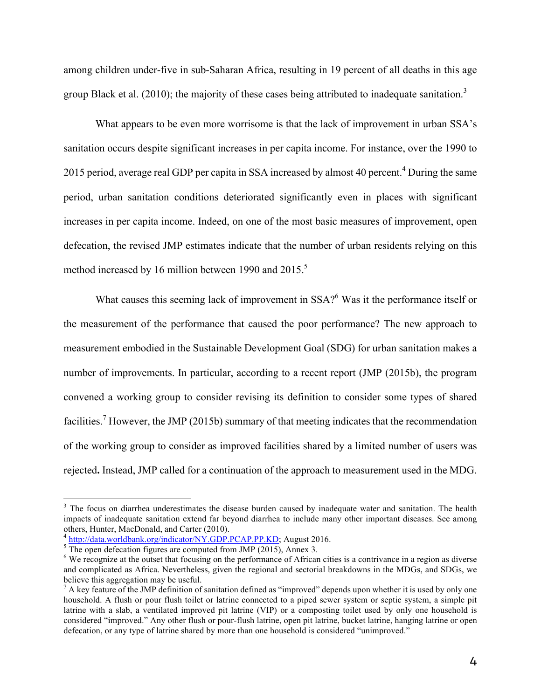among children under-five in sub-Saharan Africa, resulting in 19 percent of all deaths in this age group Black et al. (2010); the majority of these cases being attributed to inadequate sanitation.<sup>3</sup>

What appears to be even more worrisome is that the lack of improvement in urban SSA's sanitation occurs despite significant increases in per capita income. For instance, over the 1990 to 2015 period, average real GDP per capita in SSA increased by almost 40 percent.<sup>4</sup> During the same period, urban sanitation conditions deteriorated significantly even in places with significant increases in per capita income. Indeed, on one of the most basic measures of improvement, open defecation, the revised JMP estimates indicate that the number of urban residents relying on this method increased by 16 million between 1990 and 2015.<sup>5</sup>

What causes this seeming lack of improvement in  $SSA$ <sup>6</sup> Was it the performance itself or the measurement of the performance that caused the poor performance? The new approach to measurement embodied in the Sustainable Development Goal (SDG) for urban sanitation makes a number of improvements. In particular, according to a recent report (JMP (2015b), the program convened a working group to consider revising its definition to consider some types of shared facilities.<sup>7</sup> However, the JMP (2015b) summary of that meeting indicates that the recommendation of the working group to consider as improved facilities shared by a limited number of users was rejected**.** Instead, JMP called for a continuation of the approach to measurement used in the MDG.

<sup>&</sup>lt;sup>3</sup> The focus on diarrhea underestimates the disease burden caused by inadequate water and sanitation. The health impacts of inadequate sanitation extend far beyond diarrhea to include many other important diseases. See among others, Hunter, MacDonald, and Carter (2010).<br>
<sup>4</sup> http://data.worldbank.org/indicator/NY.GDP.PCAP.PP.KD; August 2016.<br>
<sup>5</sup> The open defecation figures are computed from JMP (2015), Annex 3.

<sup>&</sup>lt;sup>6</sup> We recognize at the outset that focusing on the performance of African cities is a contrivance in a region as diverse and complicated as Africa. Nevertheless, given the regional and sectorial breakdowns in the MDGs, and SDGs, we believe this aggregation may be useful.

 $^7$  A key feature of the JMP definition of sanitation defined as "improved" depends upon whether it is used by only one household. A flush or pour flush toilet or latrine connected to a piped sewer system or septic system, a simple pit latrine with a slab, a ventilated improved pit latrine (VIP) or a composting toilet used by only one household is considered "improved." Any other flush or pour-flush latrine, open pit latrine, bucket latrine, hanging latrine or open defecation, or any type of latrine shared by more than one household is considered "unimproved."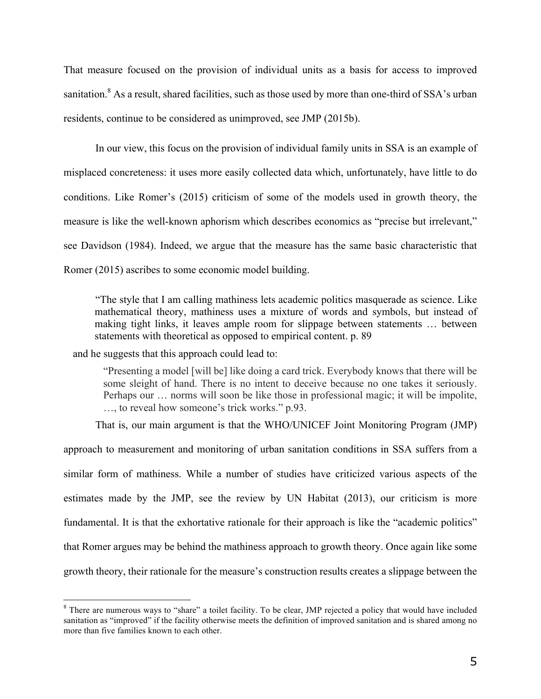That measure focused on the provision of individual units as a basis for access to improved sanitation.<sup>8</sup> As a result, shared facilities, such as those used by more than one-third of SSA's urban residents, continue to be considered as unimproved, see JMP (2015b).

In our view, this focus on the provision of individual family units in SSA is an example of misplaced concreteness: it uses more easily collected data which, unfortunately, have little to do conditions. Like Romer's (2015) criticism of some of the models used in growth theory, the measure is like the well-known aphorism which describes economics as "precise but irrelevant," see Davidson (1984). Indeed, we argue that the measure has the same basic characteristic that Romer (2015) ascribes to some economic model building.

"The style that I am calling mathiness lets academic politics masquerade as science. Like mathematical theory, mathiness uses a mixture of words and symbols, but instead of making tight links, it leaves ample room for slippage between statements … between statements with theoretical as opposed to empirical content. p. 89

and he suggests that this approach could lead to:

"Presenting a model [will be] like doing a card trick. Everybody knows that there will be some sleight of hand. There is no intent to deceive because no one takes it seriously. Perhaps our … norms will soon be like those in professional magic; it will be impolite, …, to reveal how someone's trick works." p.93.

That is, our main argument is that the WHO/UNICEF Joint Monitoring Program (JMP)

approach to measurement and monitoring of urban sanitation conditions in SSA suffers from a similar form of mathiness. While a number of studies have criticized various aspects of the estimates made by the JMP, see the review by UN Habitat (2013), our criticism is more fundamental. It is that the exhortative rationale for their approach is like the "academic politics" that Romer argues may be behind the mathiness approach to growth theory. Once again like some growth theory, their rationale for the measure's construction results creates a slippage between the

<sup>&</sup>lt;sup>8</sup> There are numerous ways to "share" a toilet facility. To be clear, JMP rejected a policy that would have included sanitation as "improved" if the facility otherwise meets the definition of improved sanitation and is shared among no more than five families known to each other.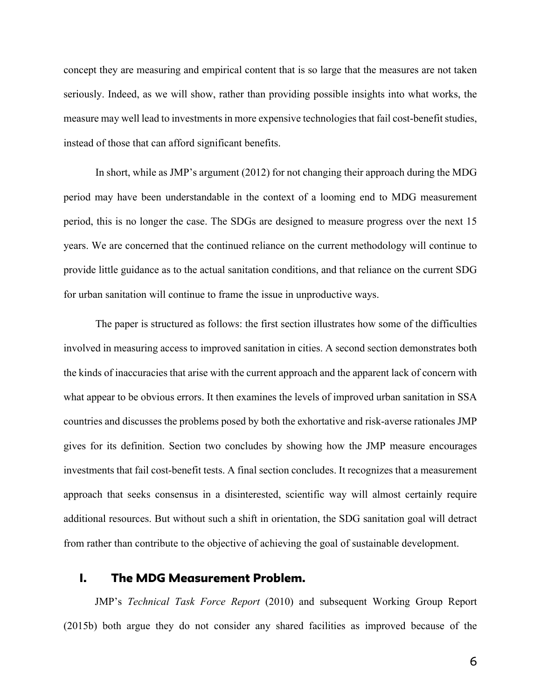concept they are measuring and empirical content that is so large that the measures are not taken seriously. Indeed, as we will show, rather than providing possible insights into what works, the measure may well lead to investments in more expensive technologies that fail cost-benefit studies, instead of those that can afford significant benefits.

In short, while as JMP's argument (2012) for not changing their approach during the MDG period may have been understandable in the context of a looming end to MDG measurement period, this is no longer the case. The SDGs are designed to measure progress over the next 15 years. We are concerned that the continued reliance on the current methodology will continue to provide little guidance as to the actual sanitation conditions, and that reliance on the current SDG for urban sanitation will continue to frame the issue in unproductive ways.

The paper is structured as follows: the first section illustrates how some of the difficulties involved in measuring access to improved sanitation in cities. A second section demonstrates both the kinds of inaccuracies that arise with the current approach and the apparent lack of concern with what appear to be obvious errors. It then examines the levels of improved urban sanitation in SSA countries and discusses the problems posed by both the exhortative and risk-averse rationales JMP gives for its definition. Section two concludes by showing how the JMP measure encourages investments that fail cost-benefit tests. A final section concludes. It recognizes that a measurement approach that seeks consensus in a disinterested, scientific way will almost certainly require additional resources. But without such a shift in orientation, the SDG sanitation goal will detract from rather than contribute to the objective of achieving the goal of sustainable development.

## I. The MDG Measurement Problem.

JMP's *Technical Task Force Report* (2010) and subsequent Working Group Report (2015b) both argue they do not consider any shared facilities as improved because of the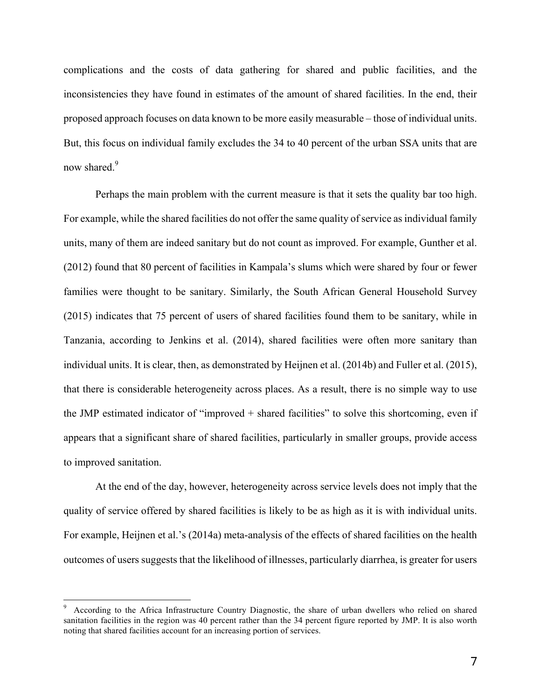complications and the costs of data gathering for shared and public facilities, and the inconsistencies they have found in estimates of the amount of shared facilities. In the end, their proposed approach focuses on data known to be more easily measurable – those of individual units. But, this focus on individual family excludes the 34 to 40 percent of the urban SSA units that are now shared.<sup>9</sup>

Perhaps the main problem with the current measure is that it sets the quality bar too high. For example, while the shared facilities do not offer the same quality of service as individual family units, many of them are indeed sanitary but do not count as improved. For example, Gunther et al. (2012) found that 80 percent of facilities in Kampala's slums which were shared by four or fewer families were thought to be sanitary. Similarly, the South African General Household Survey (2015) indicates that 75 percent of users of shared facilities found them to be sanitary, while in Tanzania, according to Jenkins et al. (2014), shared facilities were often more sanitary than individual units. It is clear, then, as demonstrated by Heijnen et al. (2014b) and Fuller et al. (2015), that there is considerable heterogeneity across places. As a result, there is no simple way to use the JMP estimated indicator of "improved + shared facilities" to solve this shortcoming, even if appears that a significant share of shared facilities, particularly in smaller groups, provide access to improved sanitation.

At the end of the day, however, heterogeneity across service levels does not imply that the quality of service offered by shared facilities is likely to be as high as it is with individual units. For example, Heijnen et al.'s (2014a) meta-analysis of the effects of shared facilities on the health outcomes of users suggests that the likelihood of illnesses, particularly diarrhea, is greater for users

<sup>-&</sup>lt;br>9 According to the Africa Infrastructure Country Diagnostic, the share of urban dwellers who relied on shared sanitation facilities in the region was 40 percent rather than the 34 percent figure reported by JMP. It is also worth noting that shared facilities account for an increasing portion of services.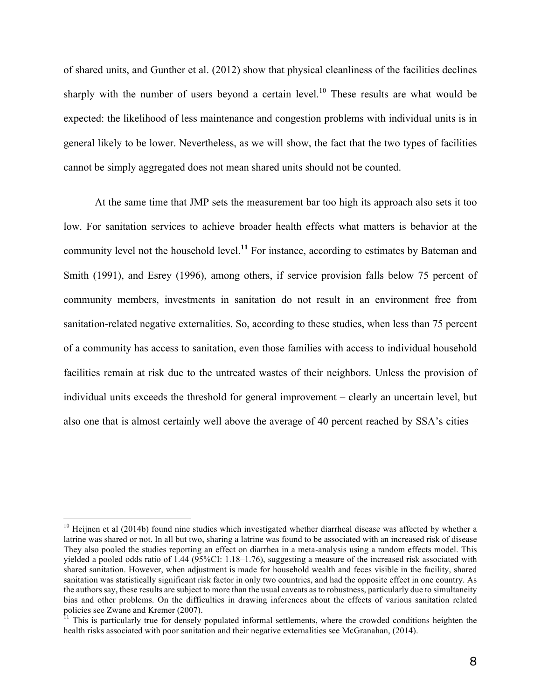of shared units, and Gunther et al. (2012) show that physical cleanliness of the facilities declines sharply with the number of users beyond a certain level.<sup>10</sup> These results are what would be expected: the likelihood of less maintenance and congestion problems with individual units is in general likely to be lower. Nevertheless, as we will show, the fact that the two types of facilities cannot be simply aggregated does not mean shared units should not be counted.

At the same time that JMP sets the measurement bar too high its approach also sets it too low. For sanitation services to achieve broader health effects what matters is behavior at the community level not the household level.**<sup>11</sup>** For instance, according to estimates by Bateman and Smith (1991), and Esrey (1996), among others, if service provision falls below 75 percent of community members, investments in sanitation do not result in an environment free from sanitation-related negative externalities. So, according to these studies, when less than 75 percent of a community has access to sanitation, even those families with access to individual household facilities remain at risk due to the untreated wastes of their neighbors. Unless the provision of individual units exceeds the threshold for general improvement – clearly an uncertain level, but also one that is almost certainly well above the average of 40 percent reached by SSA's cities –

<sup>&</sup>lt;sup>10</sup> Heijnen et al (2014b) found nine studies which investigated whether diarrheal disease was affected by whether a latrine was shared or not. In all but two, sharing a latrine was found to be associated with an increased risk of disease They also pooled the studies reporting an effect on diarrhea in a meta-analysis using a random effects model. This yielded a pooled odds ratio of 1.44 (95%CI: 1.18–1.76), suggesting a measure of the increased risk associated with shared sanitation. However, when adjustment is made for household wealth and feces visible in the facility, shared sanitation was statistically significant risk factor in only two countries, and had the opposite effect in one country. As the authors say, these results are subject to more than the usual caveats as to robustness, particularly due to simultaneity bias and other problems. On the difficulties in drawing inferences about the effects of various sanitation related policies see Zwane and Kremer (2007).

 $11$  This is particularly true for densely populated informal settlements, where the crowded conditions heighten the health risks associated with poor sanitation and their negative externalities see McGranahan, (2014).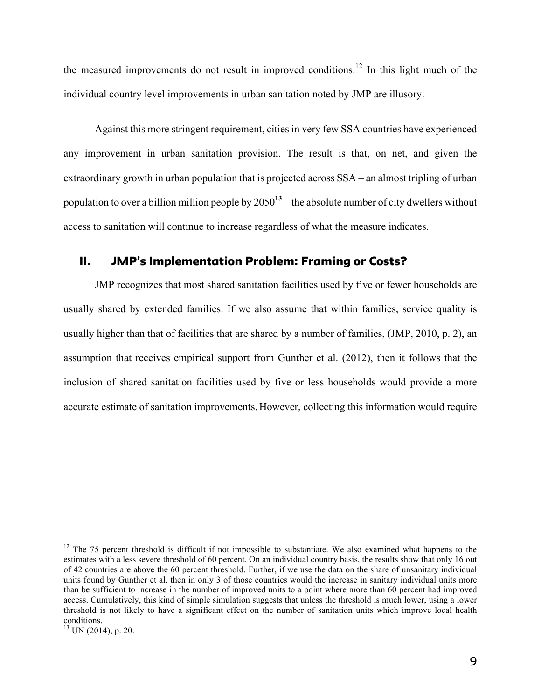the measured improvements do not result in improved conditions.<sup>12</sup> In this light much of the individual country level improvements in urban sanitation noted by JMP are illusory.

Against this more stringent requirement, cities in very few SSA countries have experienced any improvement in urban sanitation provision. The result is that, on net, and given the extraordinary growth in urban population that is projected across SSA – an almost tripling of urban population to over a billion million people by 2050**<sup>13</sup>** – the absolute number of city dwellers without access to sanitation will continue to increase regardless of what the measure indicates.

## II. JMP's Implementation Problem: Framing or Costs?

JMP recognizes that most shared sanitation facilities used by five or fewer households are usually shared by extended families. If we also assume that within families, service quality is usually higher than that of facilities that are shared by a number of families, (JMP, 2010, p. 2), an assumption that receives empirical support from Gunther et al. (2012), then it follows that the inclusion of shared sanitation facilities used by five or less households would provide a more accurate estimate of sanitation improvements. However, collecting this information would require

<sup>&</sup>lt;sup>12</sup> The 75 percent threshold is difficult if not impossible to substantiate. We also examined what happens to the estimates with a less severe threshold of 60 percent. On an individual country basis, the results show that only 16 out of 42 countries are above the 60 percent threshold. Further, if we use the data on the share of unsanitary individual units found by Gunther et al. then in only 3 of those countries would the increase in sanitary individual units more than be sufficient to increase in the number of improved units to a point where more than 60 percent had improved access. Cumulatively, this kind of simple simulation suggests that unless the threshold is much lower, using a lower threshold is not likely to have a significant effect on the number of sanitation units which improve local health conditions.

 $^{13}$  UN (2014), p. 20.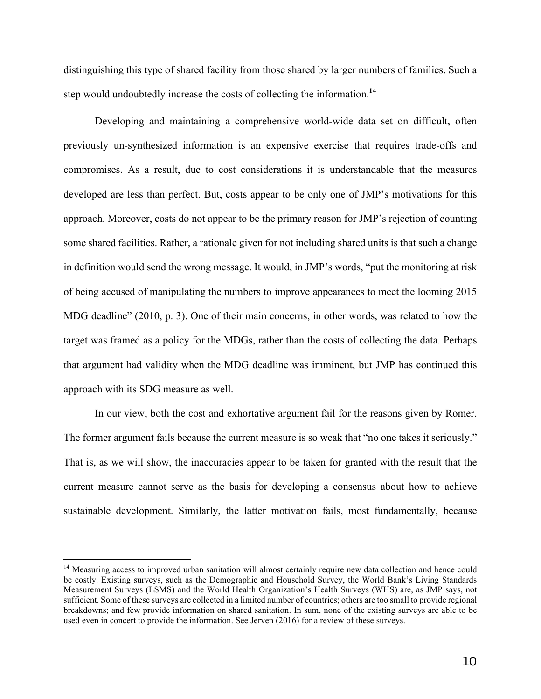distinguishing this type of shared facility from those shared by larger numbers of families. Such a step would undoubtedly increase the costs of collecting the information.**<sup>14</sup>**

Developing and maintaining a comprehensive world-wide data set on difficult, often previously un-synthesized information is an expensive exercise that requires trade-offs and compromises. As a result, due to cost considerations it is understandable that the measures developed are less than perfect. But, costs appear to be only one of JMP's motivations for this approach. Moreover, costs do not appear to be the primary reason for JMP's rejection of counting some shared facilities. Rather, a rationale given for not including shared units is that such a change in definition would send the wrong message. It would, in JMP's words, "put the monitoring at risk of being accused of manipulating the numbers to improve appearances to meet the looming 2015 MDG deadline" (2010, p. 3). One of their main concerns, in other words, was related to how the target was framed as a policy for the MDGs, rather than the costs of collecting the data. Perhaps that argument had validity when the MDG deadline was imminent, but JMP has continued this approach with its SDG measure as well.

In our view, both the cost and exhortative argument fail for the reasons given by Romer. The former argument fails because the current measure is so weak that "no one takes it seriously." That is, as we will show, the inaccuracies appear to be taken for granted with the result that the current measure cannot serve as the basis for developing a consensus about how to achieve sustainable development. Similarly, the latter motivation fails, most fundamentally, because

<sup>&</sup>lt;sup>14</sup> Measuring access to improved urban sanitation will almost certainly require new data collection and hence could be costly. Existing surveys, such as the Demographic and Household Survey, the World Bank's Living Standards Measurement Surveys (LSMS) and the World Health Organization's Health Surveys (WHS) are, as JMP says, not sufficient. Some of these surveys are collected in a limited number of countries; others are too small to provide regional breakdowns; and few provide information on shared sanitation. In sum, none of the existing surveys are able to be used even in concert to provide the information. See Jerven (2016) for a review of these surveys.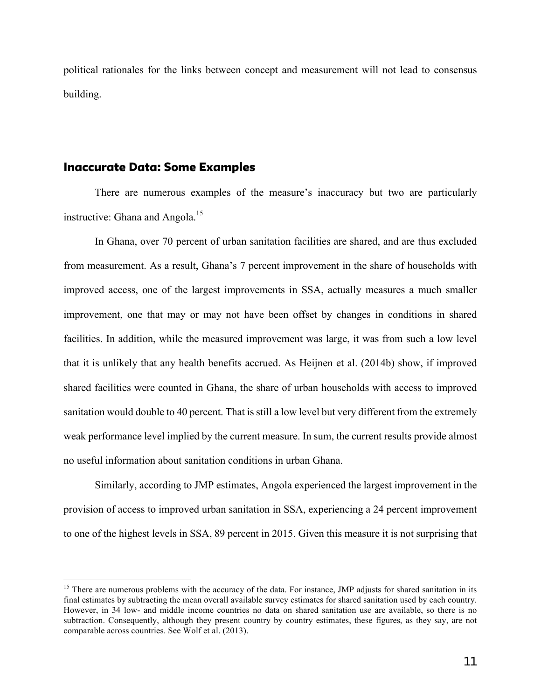political rationales for the links between concept and measurement will not lead to consensus building.

#### Inaccurate Data: Some Examples

There are numerous examples of the measure's inaccuracy but two are particularly instructive: Ghana and Angola.<sup>15</sup>

In Ghana, over 70 percent of urban sanitation facilities are shared, and are thus excluded from measurement. As a result, Ghana's 7 percent improvement in the share of households with improved access, one of the largest improvements in SSA, actually measures a much smaller improvement, one that may or may not have been offset by changes in conditions in shared facilities. In addition, while the measured improvement was large, it was from such a low level that it is unlikely that any health benefits accrued. As Heijnen et al. (2014b) show, if improved shared facilities were counted in Ghana, the share of urban households with access to improved sanitation would double to 40 percent. That is still a low level but very different from the extremely weak performance level implied by the current measure. In sum, the current results provide almost no useful information about sanitation conditions in urban Ghana.

Similarly, according to JMP estimates, Angola experienced the largest improvement in the provision of access to improved urban sanitation in SSA, experiencing a 24 percent improvement to one of the highest levels in SSA, 89 percent in 2015. Given this measure it is not surprising that

<sup>&</sup>lt;sup>15</sup> There are numerous problems with the accuracy of the data. For instance, JMP adjusts for shared sanitation in its final estimates by subtracting the mean overall available survey estimates for shared sanitation used by each country. However, in 34 low- and middle income countries no data on shared sanitation use are available, so there is no subtraction. Consequently, although they present country by country estimates, these figures, as they say, are not comparable across countries. See Wolf et al. (2013).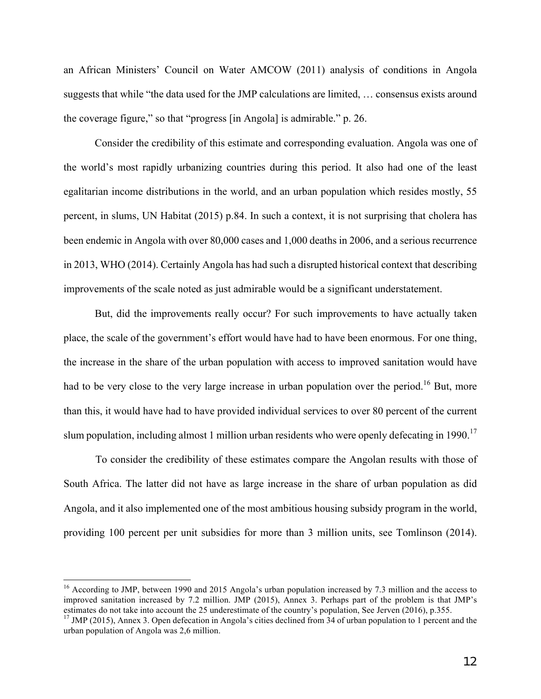an African Ministers' Council on Water AMCOW (2011) analysis of conditions in Angola suggests that while "the data used for the JMP calculations are limited, … consensus exists around the coverage figure," so that "progress [in Angola] is admirable." p. 26.

Consider the credibility of this estimate and corresponding evaluation. Angola was one of the world's most rapidly urbanizing countries during this period. It also had one of the least egalitarian income distributions in the world, and an urban population which resides mostly, 55 percent, in slums, UN Habitat (2015) p.84. In such a context, it is not surprising that cholera has been endemic in Angola with over 80,000 cases and 1,000 deaths in 2006, and a serious recurrence in 2013, WHO (2014). Certainly Angola has had such a disrupted historical context that describing improvements of the scale noted as just admirable would be a significant understatement.

But, did the improvements really occur? For such improvements to have actually taken place, the scale of the government's effort would have had to have been enormous. For one thing, the increase in the share of the urban population with access to improved sanitation would have had to be very close to the very large increase in urban population over the period.<sup>16</sup> But, more than this, it would have had to have provided individual services to over 80 percent of the current slum population, including almost 1 million urban residents who were openly defecating in 1990.<sup>17</sup>

To consider the credibility of these estimates compare the Angolan results with those of South Africa. The latter did not have as large increase in the share of urban population as did Angola, and it also implemented one of the most ambitious housing subsidy program in the world, providing 100 percent per unit subsidies for more than 3 million units, see Tomlinson (2014).

<sup>&</sup>lt;sup>16</sup> According to JMP, between 1990 and 2015 Angola's urban population increased by 7.3 million and the access to improved sanitation increased by 7.2 million. JMP (2015), Annex 3. Perhaps part of the problem is that JMP's estimates do not take into account the 25 underestimate of the country's population, See Jerven (2016), p.355.

<sup>&</sup>lt;sup>17</sup> JMP (2015), Annex 3. Open defecation in Angola's cities declined from 34 of urban population to 1 percent and the urban population of Angola was 2,6 million.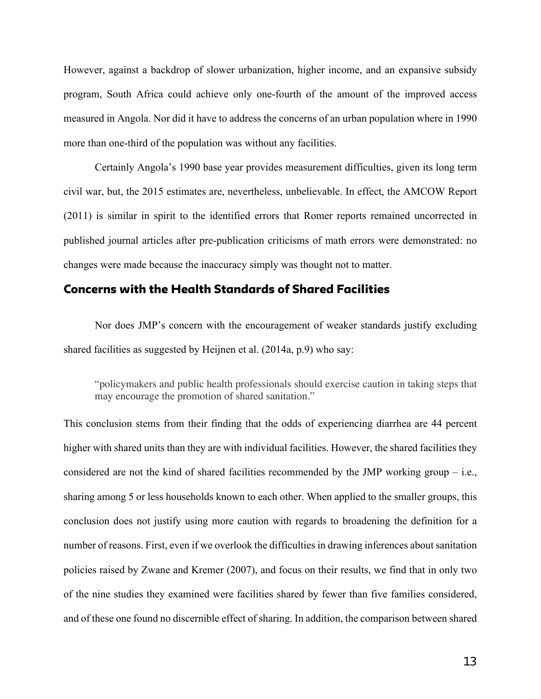However, against a backdrop of slower urbanization, higher income, and an expansive subsidy program, South Africa could achieve only one-fourth of the amount of the improved access measured in Angola. Nor did it have to address the concerns of an urban population where in 1990 more than one-third of the population was without any facilities.

Certainly Angola's 1990 base year provides measurement difficulties, given its long term civil war, but, the 2015 estimates are, nevertheless, unbelievable. In effect, the AMCOW Report (2011) is similar in spirit to the identified errors that Romer reports remained uncorrected in published journal articles after pre-publication criticisms of math errors were demonstrated: no changes were made because the inaccuracy simply was thought not to matter.

## Concerns with the Health Standards of Shared Facilities

Nor does JMP's concern with the encouragement of weaker standards justify excluding shared facilities as suggested by Heijnen et al. (2014a, p.9) who say:

"policymakers and public health professionals should exercise caution in taking steps that may encourage the promotion of shared sanitation."

This conclusion stems from their finding that the odds of experiencing diarrhea are 44 percent higher with shared units than they are with individual facilities. However, the shared facilities they considered are not the kind of shared facilities recommended by the JMP working group  $-$  i.e., sharing among 5 or less households known to each other. When applied to the smaller groups, this conclusion does not justify using more caution with regards to broadening the definition for a number of reasons. First, even if we overlook the difficulties in drawing inferences about sanitation policies raised by Zwane and Kremer (2007), and focus on their results, we find that in only two of the nine studies they examined were facilities shared by fewer than five families considered, and of these one found no discernible effect of sharing. In addition, the comparison between shared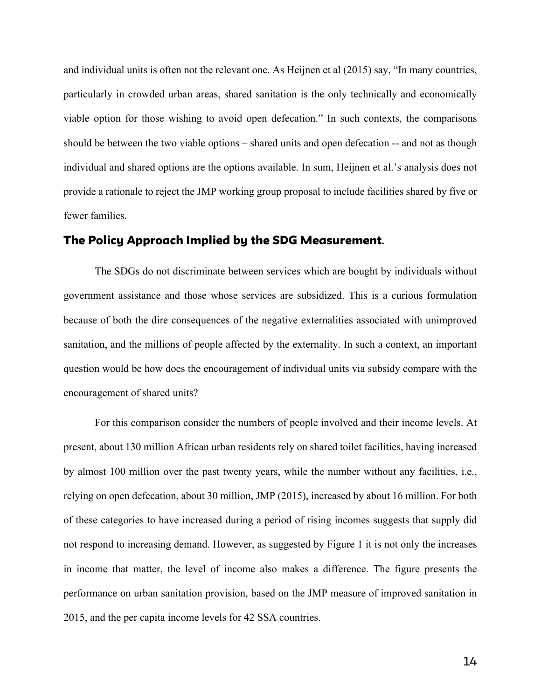and individual units is often not the relevant one. As Heijnen et al (2015) say, "In many countries, particularly in crowded urban areas, shared sanitation is the only technically and economically viable option for those wishing to avoid open defecation." In such contexts, the comparisons should be between the two viable options – shared units and open defecation -- and not as though individual and shared options are the options available. In sum, Heijnen et al.'s analysis does not provide a rationale to reject the JMP working group proposal to include facilities shared by five or fewer families.

#### The Policy Approach Implied by the SDG Measurement**.**

The SDGs do not discriminate between services which are bought by individuals without government assistance and those whose services are subsidized. This is a curious formulation because of both the dire consequences of the negative externalities associated with unimproved sanitation, and the millions of people affected by the externality. In such a context, an important question would be how does the encouragement of individual units via subsidy compare with the encouragement of shared units?

For this comparison consider the numbers of people involved and their income levels. At present, about 130 million African urban residents rely on shared toilet facilities, having increased by almost 100 million over the past twenty years, while the number without any facilities, i.e., relying on open defecation, about 30 million, JMP (2015), increased by about 16 million. For both of these categories to have increased during a period of rising incomes suggests that supply did not respond to increasing demand. However, as suggested by Figure 1 it is not only the increases in income that matter, the level of income also makes a difference. The figure presents the performance on urban sanitation provision, based on the JMP measure of improved sanitation in 2015, and the per capita income levels for 42 SSA countries.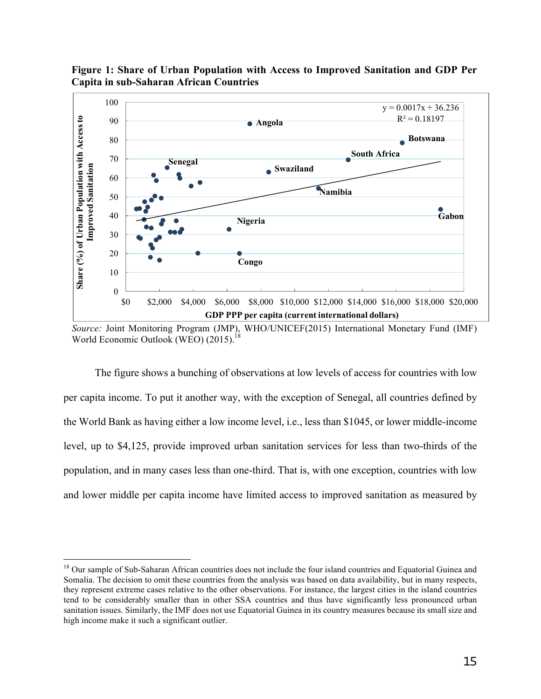

**Figure 1: Share of Urban Population with Access to Improved Sanitation and GDP Per Capita in sub-Saharan African Countries**

The figure shows a bunching of observations at low levels of access for countries with low per capita income. To put it another way, with the exception of Senegal, all countries defined by the World Bank as having either a low income level, i.e., less than \$1045, or lower middle-income level, up to \$4,125, provide improved urban sanitation services for less than two-thirds of the population, and in many cases less than one-third. That is, with one exception, countries with low and lower middle per capita income have limited access to improved sanitation as measured by

*Source:* Joint Monitoring Program (JMP), WHO/UNICEF(2015) International Monetary Fund (IMF) World Economic Outlook (WEO) (2015).<sup>18</sup>

<sup>&</sup>lt;sup>18</sup> Our sample of Sub-Saharan African countries does not include the four island countries and Equatorial Guinea and Somalia. The decision to omit these countries from the analysis was based on data availability, but in many respects, they represent extreme cases relative to the other observations. For instance, the largest cities in the island countries tend to be considerably smaller than in other SSA countries and thus have significantly less pronounced urban sanitation issues. Similarly, the IMF does not use Equatorial Guinea in its country measures because its small size and high income make it such a significant outlier.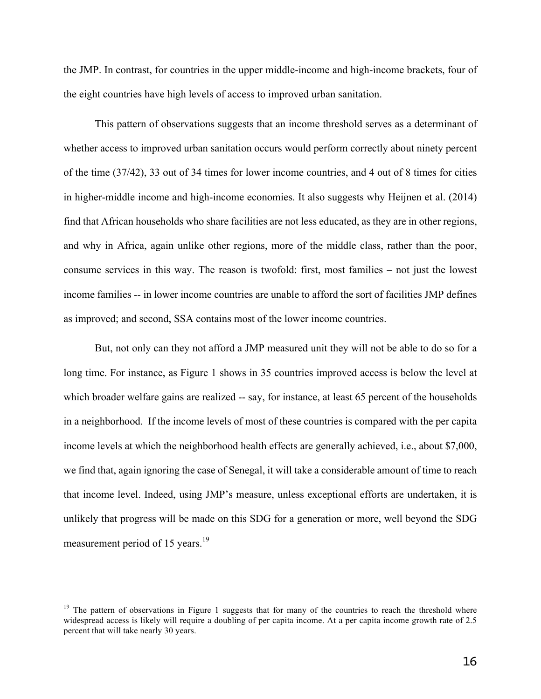the JMP. In contrast, for countries in the upper middle-income and high-income brackets, four of the eight countries have high levels of access to improved urban sanitation.

This pattern of observations suggests that an income threshold serves as a determinant of whether access to improved urban sanitation occurs would perform correctly about ninety percent of the time (37/42), 33 out of 34 times for lower income countries, and 4 out of 8 times for cities in higher-middle income and high-income economies. It also suggests why Heijnen et al. (2014) find that African households who share facilities are not less educated, as they are in other regions, and why in Africa, again unlike other regions, more of the middle class, rather than the poor, consume services in this way. The reason is twofold: first, most families – not just the lowest income families -- in lower income countries are unable to afford the sort of facilities JMP defines as improved; and second, SSA contains most of the lower income countries.

But, not only can they not afford a JMP measured unit they will not be able to do so for a long time. For instance, as Figure 1 shows in 35 countries improved access is below the level at which broader welfare gains are realized -- say, for instance, at least 65 percent of the households in a neighborhood. If the income levels of most of these countries is compared with the per capita income levels at which the neighborhood health effects are generally achieved, i.e., about \$7,000, we find that, again ignoring the case of Senegal, it will take a considerable amount of time to reach that income level. Indeed, using JMP's measure, unless exceptional efforts are undertaken, it is unlikely that progress will be made on this SDG for a generation or more, well beyond the SDG measurement period of 15 years.<sup>19</sup>

<sup>&</sup>lt;sup>19</sup> The pattern of observations in Figure 1 suggests that for many of the countries to reach the threshold where widespread access is likely will require a doubling of per capita income. At a per capita income growth rate of 2.5 percent that will take nearly 30 years.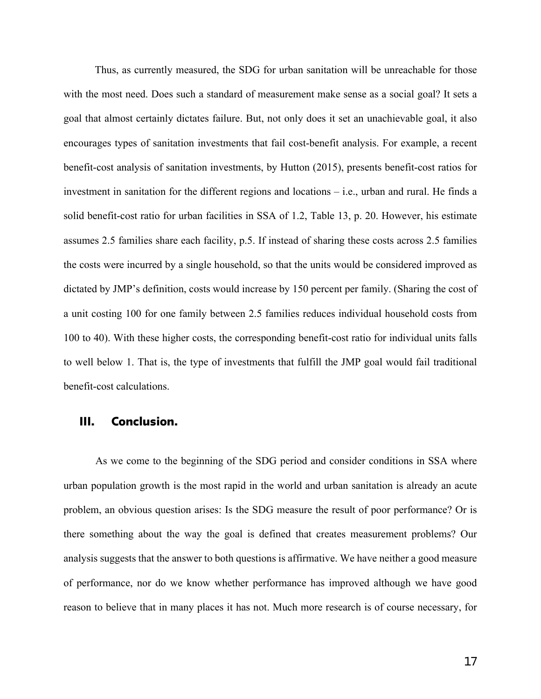Thus, as currently measured, the SDG for urban sanitation will be unreachable for those with the most need. Does such a standard of measurement make sense as a social goal? It sets a goal that almost certainly dictates failure. But, not only does it set an unachievable goal, it also encourages types of sanitation investments that fail cost-benefit analysis. For example, a recent benefit-cost analysis of sanitation investments, by Hutton (2015), presents benefit-cost ratios for investment in sanitation for the different regions and locations – i.e., urban and rural. He finds a solid benefit-cost ratio for urban facilities in SSA of 1.2, Table 13, p. 20. However, his estimate assumes 2.5 families share each facility, p.5. If instead of sharing these costs across 2.5 families the costs were incurred by a single household, so that the units would be considered improved as dictated by JMP's definition, costs would increase by 150 percent per family. (Sharing the cost of a unit costing 100 for one family between 2.5 families reduces individual household costs from 100 to 40). With these higher costs, the corresponding benefit-cost ratio for individual units falls to well below 1. That is, the type of investments that fulfill the JMP goal would fail traditional benefit-cost calculations.

#### III. Conclusion.

As we come to the beginning of the SDG period and consider conditions in SSA where urban population growth is the most rapid in the world and urban sanitation is already an acute problem, an obvious question arises: Is the SDG measure the result of poor performance? Or is there something about the way the goal is defined that creates measurement problems? Our analysis suggests that the answer to both questions is affirmative. We have neither a good measure of performance, nor do we know whether performance has improved although we have good reason to believe that in many places it has not. Much more research is of course necessary, for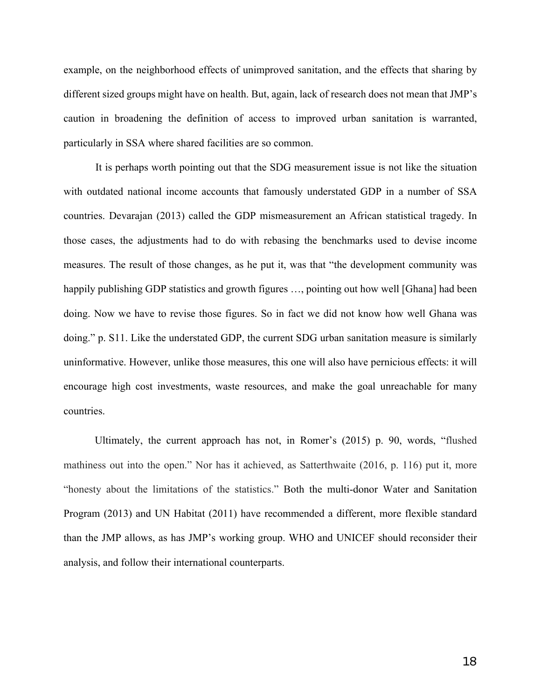example, on the neighborhood effects of unimproved sanitation, and the effects that sharing by different sized groups might have on health. But, again, lack of research does not mean that JMP's caution in broadening the definition of access to improved urban sanitation is warranted, particularly in SSA where shared facilities are so common.

It is perhaps worth pointing out that the SDG measurement issue is not like the situation with outdated national income accounts that famously understated GDP in a number of SSA countries. Devarajan (2013) called the GDP mismeasurement an African statistical tragedy. In those cases, the adjustments had to do with rebasing the benchmarks used to devise income measures. The result of those changes, as he put it, was that "the development community was happily publishing GDP statistics and growth figures ..., pointing out how well [Ghana] had been doing. Now we have to revise those figures. So in fact we did not know how well Ghana was doing." p. S11. Like the understated GDP, the current SDG urban sanitation measure is similarly uninformative. However, unlike those measures, this one will also have pernicious effects: it will encourage high cost investments, waste resources, and make the goal unreachable for many countries.

Ultimately, the current approach has not, in Romer's (2015) p. 90, words, "flushed mathiness out into the open." Nor has it achieved, as Satterthwaite (2016, p. 116) put it, more "honesty about the limitations of the statistics." Both the multi-donor Water and Sanitation Program (2013) and UN Habitat (2011) have recommended a different, more flexible standard than the JMP allows, as has JMP's working group. WHO and UNICEF should reconsider their analysis, and follow their international counterparts.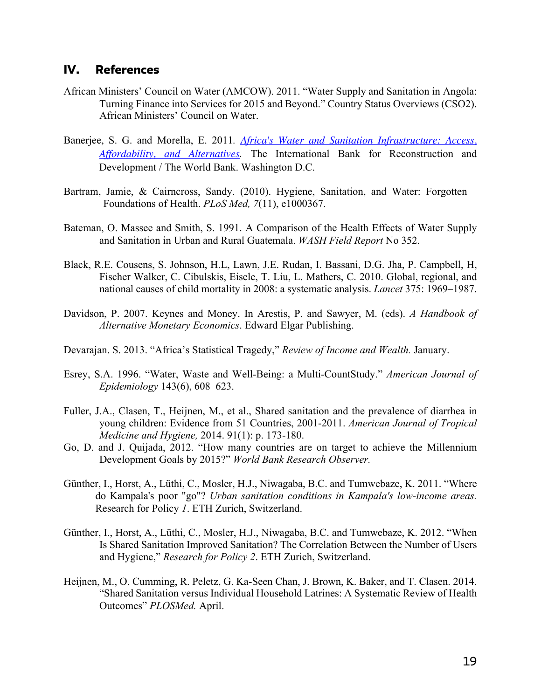## IV. References

- African Ministers' Council on Water (AMCOW). 2011. "Water Supply and Sanitation in Angola: Turning Finance into Services for 2015 and Beyond." Country Status Overviews (CSO2). African Ministers' Council on Water.
- Banerjee, S. G. and Morella, E. 2011*. Africa's Water and Sanitation Infrastructure: Access, Affordability, and Alternatives.* The International Bank for Reconstruction and Development / The World Bank. Washington D.C.
- Bartram, Jamie, & Cairncross, Sandy. (2010). Hygiene, Sanitation, and Water: Forgotten Foundations of Health. *PLoS Med, 7*(11), e1000367.
- Bateman, O. Massee and Smith, S. 1991. A Comparison of the Health Effects of Water Supply and Sanitation in Urban and Rural Guatemala. *WASH Field Report* No 352.
- Black, R.E. Cousens, S. Johnson, H.L, Lawn, J.E. Rudan, I. Bassani, D.G. Jha, P. Campbell, H, Fischer Walker, C. Cibulskis, Eisele, T. Liu, L. Mathers, C. 2010. Global, regional, and national causes of child mortality in 2008: a systematic analysis. *Lancet* 375: 1969–1987.
- Davidson, P. 2007. Keynes and Money. In Arestis, P. and Sawyer, M. (eds). *A Handbook of Alternative Monetary Economics*. Edward Elgar Publishing.
- Devarajan. S. 2013. "Africa's Statistical Tragedy," *Review of Income and Wealth.* January.
- Esrey, S.A. 1996. "Water, Waste and Well-Being: a Multi-CountStudy." *American Journal of Epidemiology* 143(6), 608–623.
- Fuller, J.A., Clasen, T., Heijnen, M., et al., Shared sanitation and the prevalence of diarrhea in young children: Evidence from 51 Countries, 2001-2011. *American Journal of Tropical Medicine and Hygiene,* 2014. 91(1): p. 173-180.
- Go, D. and J. Quijada, 2012. "How many countries are on target to achieve the Millennium Development Goals by 2015?" *World Bank Research Observer.*
- Günther, I., Horst, A., Lüthi, C., Mosler, H.J., Niwagaba, B.C. and Tumwebaze, K. 2011. "Where do Kampala's poor "go"? *Urban sanitation conditions in Kampala's low-income areas.*  Research for Policy *1*. ETH Zurich, Switzerland.
- Günther, I., Horst, A., Lüthi, C., Mosler, H.J., Niwagaba, B.C. and Tumwebaze, K. 2012. "When Is Shared Sanitation Improved Sanitation? The Correlation Between the Number of Users and Hygiene," *Research for Policy 2*. ETH Zurich, Switzerland.
- Heijnen, M., O. Cumming, R. Peletz, G. Ka-Seen Chan, J. Brown, K. Baker, and T. Clasen. 2014. "Shared Sanitation versus Individual Household Latrines: A Systematic Review of Health Outcomes" *PLOSMed.* April.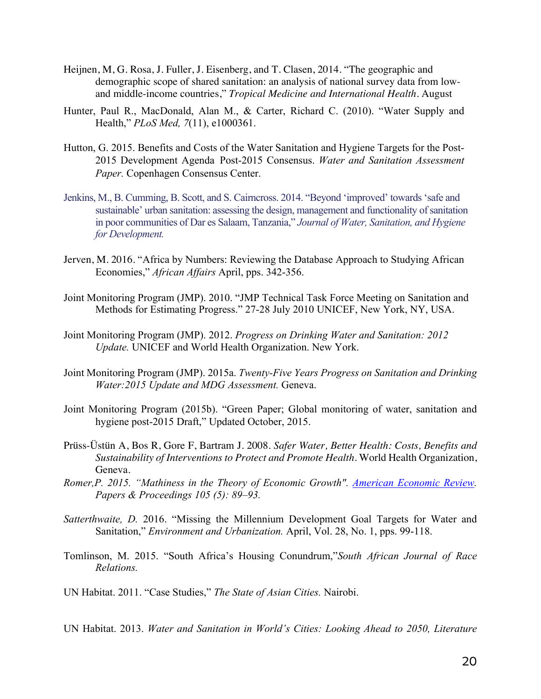- Heijnen, M, G. Rosa, J. Fuller, J. Eisenberg, and T. Clasen, 2014. "The geographic and demographic scope of shared sanitation: an analysis of national survey data from lowand middle-income countries," *Tropical Medicine and International Health.* August
- Hunter, Paul R., MacDonald, Alan M., & Carter, Richard C. (2010). "Water Supply and Health," *PLoS Med, 7*(11), e1000361.
- Hutton, G. 2015. Benefits and Costs of the Water Sanitation and Hygiene Targets for the Post-2015 Development Agenda Post-2015 Consensus. *Water and Sanitation Assessment Paper.* Copenhagen Consensus Center.
- Jenkins, M., B. Cumming, B. Scott, and S. Cairncross. 2014. "Beyond 'improved' towards 'safe and sustainable' urban sanitation: assessing the design, management and functionality of sanitation in poor communities of Dar es Salaam, Tanzania," *Journal of Water, Sanitation, and Hygiene for Development.*
- Jerven, M. 2016. "Africa by Numbers: Reviewing the Database Approach to Studying African Economies," *African Affairs* April, pps. 342-356.
- Joint Monitoring Program (JMP). 2010. "JMP Technical Task Force Meeting on Sanitation and Methods for Estimating Progress." 27-28 July 2010 UNICEF, New York, NY, USA.
- Joint Monitoring Program (JMP). 2012. *Progress on Drinking Water and Sanitation: 2012 Update.* UNICEF and World Health Organization. New York.
- Joint Monitoring Program (JMP). 2015a. *Twenty-Five Years Progress on Sanitation and Drinking Water:2015 Update and MDG Assessment.* Geneva.
- Joint Monitoring Program (2015b). "Green Paper; Global monitoring of water, sanitation and hygiene post-2015 Draft," Updated October, 2015.
- Prüss-Üstün A, Bos R, Gore F, Bartram J. 2008. *Safer Water, Better Health: Costs, Benefits and Sustainability of Interventions to Protect and Promote Health.* World Health Organization, Geneva.
- *Romer,P. 2015. "Mathiness in the Theory of Economic Growth". American Economic Review. Papers & Proceedings 105 (5): 89–93.*
- *Satterthwaite, D.* 2016. "Missing the Millennium Development Goal Targets for Water and Sanitation," *Environment and Urbanization.* April, Vol. 28, No. 1, pps. 99-118.
- Tomlinson, M. 2015. "South Africa's Housing Conundrum,"*South African Journal of Race Relations.*

UN Habitat. 2011. "Case Studies," *The State of Asian Cities.* Nairobi.

UN Habitat. 2013. *Water and Sanitation in World's Cities: Looking Ahead to 2050, Literature*